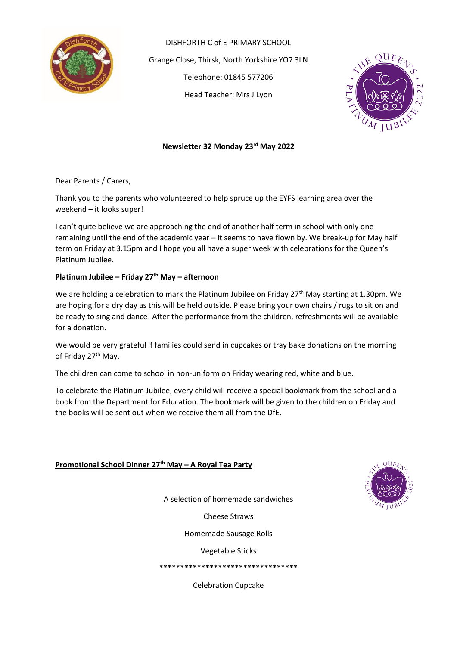

DISHFORTH C of E PRIMARY SCHOOL Grange Close, Thirsk, North Yorkshire YO7 3LN Telephone: 01845 577206 Head Teacher: Mrs J Lyon



## **Newsletter 32 Monday 23rd May 2022**

Dear Parents / Carers,

Thank you to the parents who volunteered to help spruce up the EYFS learning area over the weekend – it looks super!

I can't quite believe we are approaching the end of another half term in school with only one remaining until the end of the academic year – it seems to have flown by. We break-up for May half term on Friday at 3.15pm and I hope you all have a super week with celebrations for the Queen's Platinum Jubilee.

## **Platinum Jubilee – Friday 27th May – afternoon**

We are holding a celebration to mark the Platinum Jubilee on Friday 27<sup>th</sup> May starting at 1.30pm. We are hoping for a dry day as this will be held outside. Please bring your own chairs / rugs to sit on and be ready to sing and dance! After the performance from the children, refreshments will be available for a donation.

We would be very grateful if families could send in cupcakes or tray bake donations on the morning of Friday 27<sup>th</sup> May.

The children can come to school in non-uniform on Friday wearing red, white and blue.

To celebrate the Platinum Jubilee, every child will receive a special bookmark from the school and a book from the Department for Education. The bookmark will be given to the children on Friday and the books will be sent out when we receive them all from the DfE.

### **Promotional School Dinner 27th May – A Royal Tea Party**



A selection of homemade sandwiches

Cheese Straws

Homemade Sausage Rolls

Vegetable Sticks

\*\*\*\*\*\*\*\*\*\*\*\*\*\*\*\*\*\*\*\*\*\*\*\*\*\*\*\*\*\*\*\*\*

Celebration Cupcake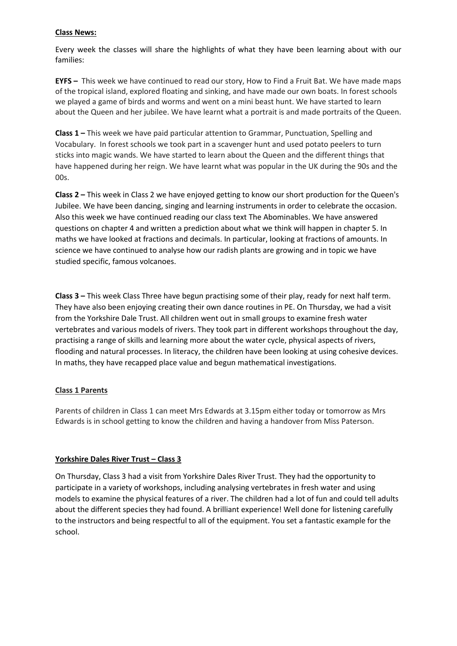## **Class News:**

Every week the classes will share the highlights of what they have been learning about with our families:

**EYFS –** This week we have continued to read our story, How to Find a Fruit Bat. We have made maps of the tropical island, explored floating and sinking, and have made our own boats. In forest schools we played a game of birds and worms and went on a mini beast hunt. We have started to learn about the Queen and her jubilee. We have learnt what a portrait is and made portraits of the Queen.

**Class 1 –** This week we have paid particular attention to Grammar, Punctuation, Spelling and Vocabulary. In forest schools we took part in a scavenger hunt and used potato peelers to turn sticks into magic wands. We have started to learn about the Queen and the different things that have happened during her reign. We have learnt what was popular in the UK during the 90s and the 00s.

**Class 2 –** This week in Class 2 we have enjoyed getting to know our short production for the Queen's Jubilee. We have been dancing, singing and learning instruments in order to celebrate the occasion. Also this week we have continued reading our class text The Abominables. We have answered questions on chapter 4 and written a prediction about what we think will happen in chapter 5. In maths we have looked at fractions and decimals. In particular, looking at fractions of amounts. In science we have continued to analyse how our radish plants are growing and in topic we have studied specific, famous volcanoes.

**Class 3 –** This week Class Three have begun practising some of their play, ready for next half term. They have also been enjoying creating their own dance routines in PE. On Thursday, we had a visit from the Yorkshire Dale Trust. All children went out in small groups to examine fresh water vertebrates and various models of rivers. They took part in different workshops throughout the day, practising a range of skills and learning more about the water cycle, physical aspects of rivers, flooding and natural processes. In literacy, the children have been looking at using cohesive devices. In maths, they have recapped place value and begun mathematical investigations.

### **Class 1 Parents**

Parents of children in Class 1 can meet Mrs Edwards at 3.15pm either today or tomorrow as Mrs Edwards is in school getting to know the children and having a handover from Miss Paterson.

## **Yorkshire Dales River Trust – Class 3**

On Thursday, Class 3 had a visit from Yorkshire Dales River Trust. They had the opportunity to participate in a variety of workshops, including analysing vertebrates in fresh water and using models to examine the physical features of a river. The children had a lot of fun and could tell adults about the different species they had found. A brilliant experience! Well done for listening carefully to the instructors and being respectful to all of the equipment. You set a fantastic example for the school.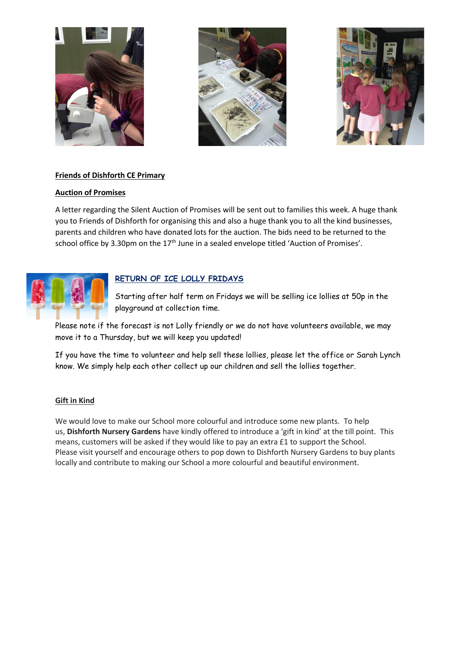





## **Friends of Dishforth CE Primary**

## **Auction of Promises**

A letter regarding the Silent Auction of Promises will be sent out to families this week. A huge thank you to Friends of Dishforth for organising this and also a huge thank you to all the kind businesses, parents and children who have donated lots for the auction. The bids need to be returned to the school office by 3.30pm on the 17<sup>th</sup> June in a sealed envelope titled 'Auction of Promises'.



## **RETURN OF ICE LOLLY FRIDAYS**

Starting after half term on Fridays we will be selling ice lollies at 50p in the playground at collection time.

Please note if the forecast is not Lolly friendly or we do not have volunteers available, we may move it to a Thursday, but we will keep you updated!

If you have the time to volunteer and help sell these lollies, please let the office or Sarah Lynch know. We simply help each other collect up our children and sell the lollies together.

### **Gift in Kind**

We would love to make our School more colourful and introduce some new plants. To help us, **Dishforth Nursery Gardens** have kindly offered to introduce a 'gift in kind' at the till point. This means, customers will be asked if they would like to pay an extra £1 to support the School. Please visit yourself and encourage others to pop down to Dishforth Nursery Gardens to buy plants locally and contribute to making our School a more colourful and beautiful environment.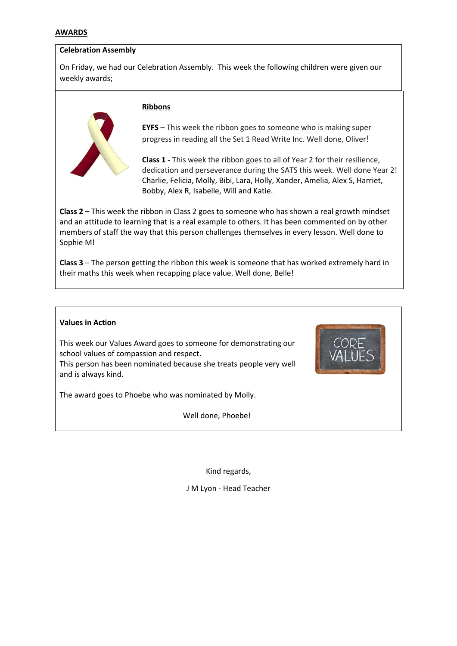### **AWARDS**

### **Celebration Assembly**

On Friday, we had our Celebration Assembly. This week the following children were given our weekly awards;



### **Ribbons**

**EYFS** – This week the ribbon goes to someone who is making super progress in reading all the Set 1 Read Write Inc. Well done, Oliver!

**Class 1 -** This week the ribbon goes to all of Year 2 for their resilience, dedication and perseverance during the SATS this week. Well done Year 2! Charlie, Felicia, Molly, Bibi, Lara, Holly, Xander, Amelia, Alex S, Harriet, Bobby, Alex R, Isabelle, Will and Katie.

**Class 2 –** This week the ribbon in Class 2 goes to someone who has shown a real growth mindset and an attitude to learning that is a real example to others. It has been commented on by other members of staff the way that this person challenges themselves in every lesson. Well done to Sophie M!

**Class 3** – The person getting the ribbon this week is someone that has worked extremely hard in their maths this week when recapping place value. Well done, Belle!

### **Values in Action**

This week our Values Award goes to someone for demonstrating our school values of compassion and respect.

This person has been nominated because she treats people very well and is always kind.

The award goes to Phoebe who was nominated by Molly.

Well done, Phoebe!

Kind regards,

J M Lyon - Head Teacher